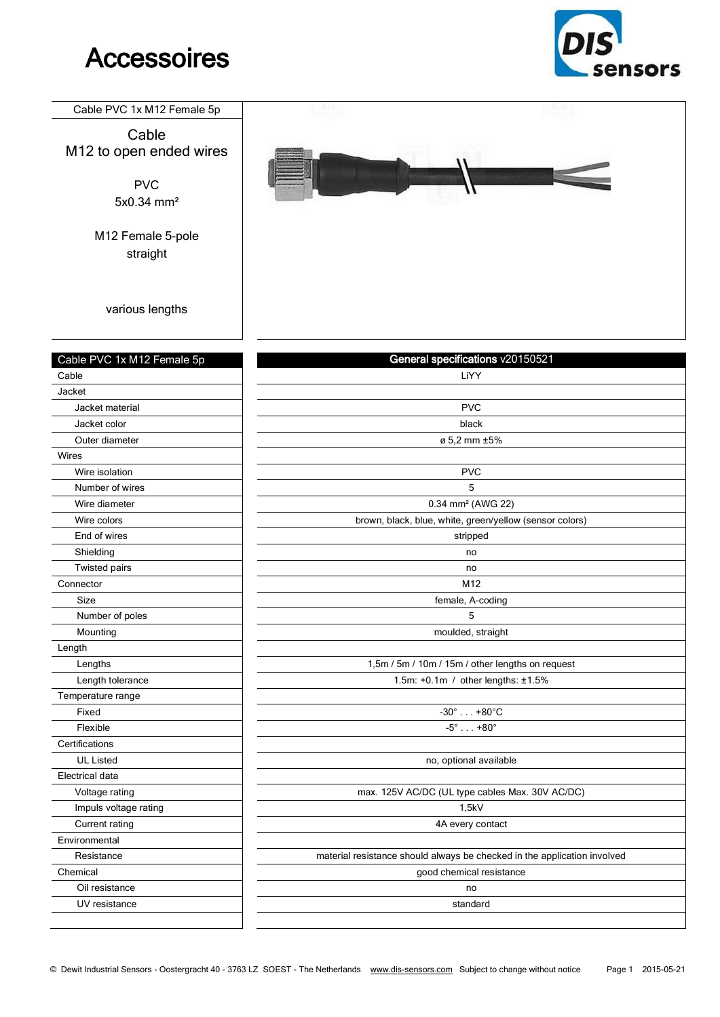## **Accessoires**



## Cable PVC 1x M12 Female 5p

Cable M12 to open ended wires

> PVC 5x0.34 mm²

M12 Female 5-pole straight

various lengths

| Cable PVC 1x M12 Female 5p | General specifications v20150521                                         |
|----------------------------|--------------------------------------------------------------------------|
| Cable                      | LiYY                                                                     |
| Jacket                     |                                                                          |
| Jacket material            | <b>PVC</b>                                                               |
| Jacket color               | black                                                                    |
| Outer diameter             | ø 5.2 mm ±5%                                                             |
| Wires                      |                                                                          |
| Wire isolation             | <b>PVC</b>                                                               |
| Number of wires            | 5                                                                        |
| Wire diameter              | 0.34 mm <sup>2</sup> (AWG 22)                                            |
| Wire colors                | brown, black, blue, white, green/yellow (sensor colors)                  |
| End of wires               | stripped                                                                 |
| Shielding                  | no                                                                       |
| <b>Twisted pairs</b>       | no                                                                       |
| Connector                  | M12                                                                      |
| Size                       | female, A-coding                                                         |
| Number of poles            | 5                                                                        |
| Mounting                   | moulded, straight                                                        |
| Length                     |                                                                          |
| Lengths                    | 1,5m / 5m / 10m / 15m / other lengths on request                         |
| Length tolerance           | 1.5m: +0.1m / other lengths: ±1.5%                                       |
| Temperature range          |                                                                          |
| Fixed                      | $-30^\circ$ +80 $^\circ$ C                                               |
| Flexible                   | $-5^{\circ}$ $+80^{\circ}$                                               |
| Certifications             |                                                                          |
| <b>UL Listed</b>           | no, optional available                                                   |
| Electrical data            |                                                                          |
| Voltage rating             | max. 125V AC/DC (UL type cables Max. 30V AC/DC)                          |
| Impuls voltage rating      | 1,5kV                                                                    |
| Current rating             | 4A every contact                                                         |
| Environmental              |                                                                          |
| Resistance                 | material resistance should always be checked in the application involved |
| Chemical                   | good chemical resistance                                                 |
| Oil resistance             | no                                                                       |
| UV resistance              | standard                                                                 |
|                            |                                                                          |
|                            |                                                                          |